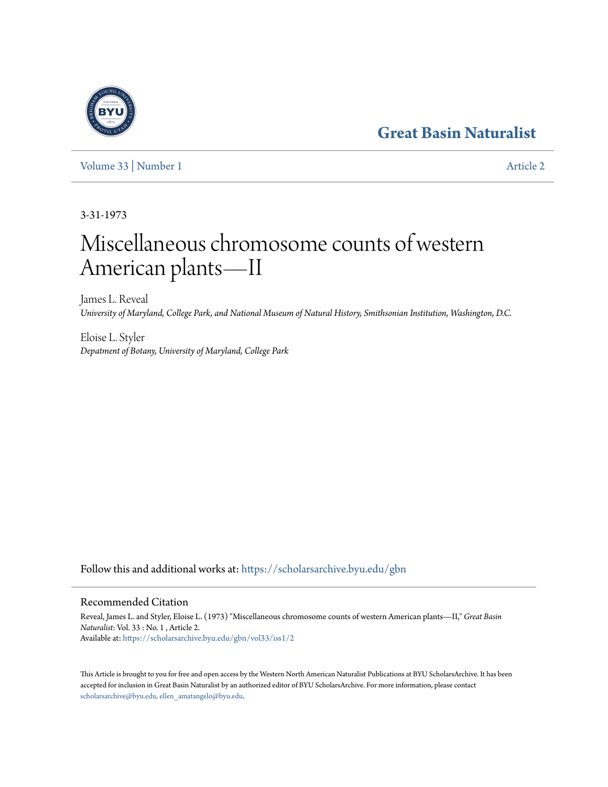# **[Great Basin Naturalist](https://scholarsarchive.byu.edu/gbn?utm_source=scholarsarchive.byu.edu%2Fgbn%2Fvol33%2Fiss1%2F2&utm_medium=PDF&utm_campaign=PDFCoverPages)**



[Volume 33](https://scholarsarchive.byu.edu/gbn/vol33?utm_source=scholarsarchive.byu.edu%2Fgbn%2Fvol33%2Fiss1%2F2&utm_medium=PDF&utm_campaign=PDFCoverPages) | [Number 1](https://scholarsarchive.byu.edu/gbn/vol33/iss1?utm_source=scholarsarchive.byu.edu%2Fgbn%2Fvol33%2Fiss1%2F2&utm_medium=PDF&utm_campaign=PDFCoverPages) [Article 2](https://scholarsarchive.byu.edu/gbn/vol33/iss1/2?utm_source=scholarsarchive.byu.edu%2Fgbn%2Fvol33%2Fiss1%2F2&utm_medium=PDF&utm_campaign=PDFCoverPages)

3-31-1973

# Miscellaneous chromosome counts of western American plants—II

James L. Reveal *University of Maryland, College Park, and National Museum of Natural History, Smithsonian Institution, Washington, D.C.*

Eloise L. Styler *Depatment of Botany, University of Maryland, College Park*

Follow this and additional works at: [https://scholarsarchive.byu.edu/gbn](https://scholarsarchive.byu.edu/gbn?utm_source=scholarsarchive.byu.edu%2Fgbn%2Fvol33%2Fiss1%2F2&utm_medium=PDF&utm_campaign=PDFCoverPages)

## Recommended Citation

Reveal, James L. and Styler, Eloise L. (1973) "Miscellaneous chromosome counts of western American plants—II," *Great Basin Naturalist*: Vol. 33 : No. 1 , Article 2. Available at: [https://scholarsarchive.byu.edu/gbn/vol33/iss1/2](https://scholarsarchive.byu.edu/gbn/vol33/iss1/2?utm_source=scholarsarchive.byu.edu%2Fgbn%2Fvol33%2Fiss1%2F2&utm_medium=PDF&utm_campaign=PDFCoverPages)

This Article is brought to you for free and open access by the Western North American Naturalist Publications at BYU ScholarsArchive. It has been accepted for inclusion in Great Basin Naturalist by an authorized editor of BYU ScholarsArchive. For more information, please contact [scholarsarchive@byu.edu, ellen\\_amatangelo@byu.edu.](mailto:scholarsarchive@byu.edu,%20ellen_amatangelo@byu.edu)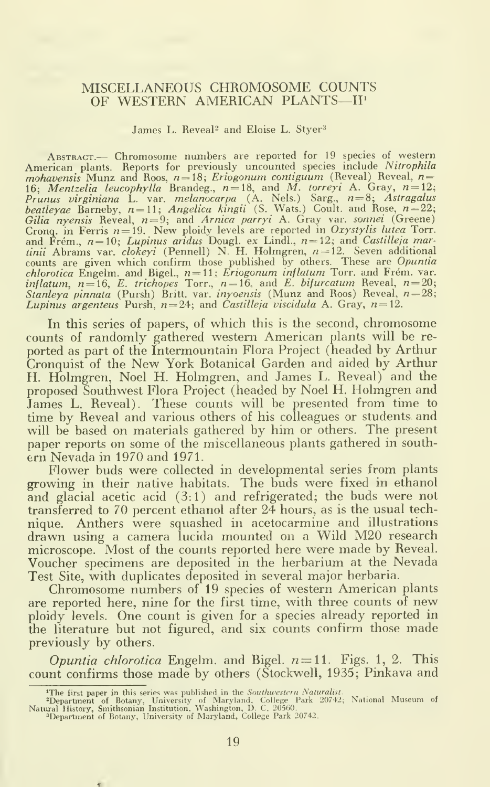### MISCELLANEOUS CHROMOSOME COUNTS OF WESTERN AMERICAN PLANTS—II<sup>1</sup>

James L. Reveal<sup>2</sup> and Eloise L. Styer<sup>3</sup>

ABSTRACT.— Chromosome numbers are reported for 19 species of western<br>American plants. Reports for previously uncounted species include Nitrophila American plants. Reports for previously uncounted species include *Nutrophita*<br>mohavemsis Munz and Roos,  $n=18$ , *Eriogonum contiguum* (Reveal) Reveal,  $n=16$ , *Mentzelia leucophylla Brandeg.*,  $n=18$ , and *M. torreyi* A. Gilia nyensis Reveal,  $n=9$ ; and Arnica parryi A. Gray var. sonnet (Greene)<br>Cronq. in Ferris  $n=19$ . New ploidy levels are reported in Oxystylis lutea Torr.<br>and Frém.,  $n=10$ ; Lupinus aridus Dougl. ex Lindl.,  $n=12$ ; and Lupinus argenteus Pursh,  $n=24$ ; and Castilleja viscidula A. Gray,  $n=12$ .

In this series of papers, of which this is the second, chromosome counts of randomly gathered western American plants will be re ported as part of the Intermountain Flora Project (headed by Arthur Cronquist of the New York Botanical Garden and aided by Arthur H. Holmgren, Noel H. Holmgren, and James L. Reveal) and the proposed Southwest Flora Project (headed by Noel H. Holmgren and James L. Reveal). These counts will be presented from time to time by Reveal and various others of his colleagues or students and will be based on materials gathered by him or others. The present paper reports on some of the miscellaneous plants gathered in south ern Nevada in 1970 and 1971.

Flower buds were collected in developmental series from plants growing in their native habitats. The buds were fixed in ethanol and glacial acetic acid (3:1) and refrigerated; the buds were not transferred to 70 percent ethanol after  $2\overline{4}$  hours, as is the usual technique. Anthers were squashed in acetocarmine and illustrations drawn using <sup>a</sup> camera lucida mounted on <sup>a</sup> Wild M20 research microscope. Most of the counts reported here were made by Reveal. Voucher specimens are deposited in the herbarium at the Nevada Test Site, with duplicates deposited in several major herbaria.

Chromosome numbers of 19 species of western American plants are reported here, nine for the first time, with three counts of new ploidy levels. One count is given for a species already reported in the literature but not figured, and six counts confirm those made previously by others.

*Opuntia chlorotica* Engelm. and Bigel.  $n=11$ . Figs. 1, 2. This count confirms those made by others (Stockwell, 1935; Pinkava and

The first paper in this series was published in the Southwestern Naturalist.

<sup>^</sup>Department of Botany, University of Maryland, College Park 20742; National Museum of Natural History, Smithsonian Institution, Washington, D. C. 20560. ^Department of Botany, University of Maryland, College Park 20742.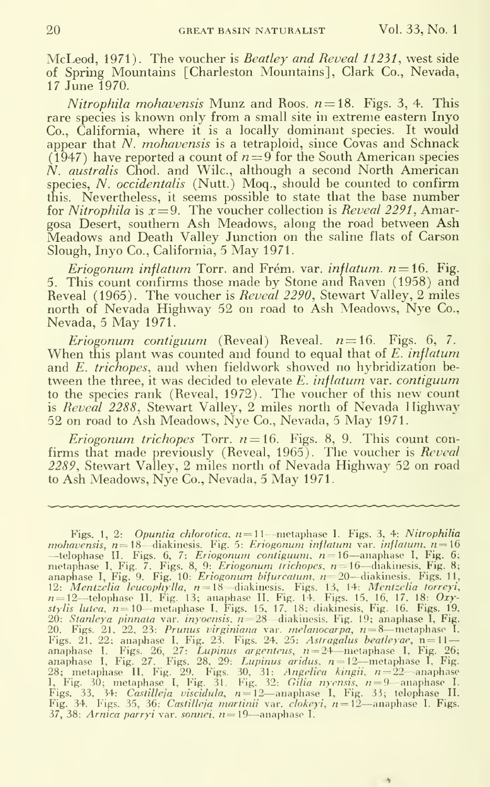McLeod, 1971). The voucher is Beatley and Reveal 11231, west side of Spring Mountains [Charleston Mountains], Clark Co., Nevada, 17 June 1970.

*Nitrophila mohavensis* Munz and Roos.  $n = 18$ . Figs. 3, 4. This rare species is known only from a small site in extreme eastern Inyo Co., California, where it is a locally dominant species. It would appear that *N. mohavensis* is a tetraploid, since Covas and Schnack  $(1947)$  have reported a count of  $n=9$  for the South American species  $N.$  australis Chod. and Wilc., although a second North American species, N. occidentalis (Nutt.) Moq., should be counted to confirm this. Nevertheless, it seems possible to state that the base number for *Nitrophila* is  $x = 9$ . The voucher collection is *Reveal 2291*, Amargosa Desert, southern Ash Meadows, along the road between Ash Meadows and Death Valley Junction on the saline flats of Carson Slough, Inyo Co., California, <sup>5</sup> May 1971.

*Eriogonum inflatum* Torr. and Frém. var. *inflatum.*  $n = 16$ . Fig. 5. This count confirms those made by Stone and Raven (1958) and Beveal (1965). The voucher is *Reveal 2290*, Stewart Valley, 2 miles north of Nevada Highway 52 on road to Ash Meadows, Nye Co., Nevada, <sup>5</sup> May 1971.

*Eriogonum contiguum* (Reveal) Reveal.  $n=16$ . Figs. 6, 7. When this plant was counted and found to equal that of *E. inflatum* and E. trichopes, and when fieldwork showed no hybridization between the three, it was decided to elevate  $E$ . *inflatum* var. *contiguum* to the species rank (Reveal, 1972). The voucher of this new count is Reveal 2288, Stewart Valley, 2 miles north of Nevada Highway 52 on road to Ash Meadows, Nye Co., Nevada, <sup>5</sup> May 1971.

*Eriogonum trichopes* Torr.  $n=16$ . Figs. 8, 9. This count confirms that made previously (Reveal, 1965). The voucher is Reveal 2289, Stewart Valley, 2 miles north of Nevada Highway 52 on road to Ash Meadows, Nye Co., Nevada, <sup>5</sup> May 1971.

Figs. 1, 2: Opuntia chlorotica,  $n=11$ —metaphase I. Figs. 3, 4: Nitrophilia rigs.  $i$ ,  $i = 18$ —diakinesis. Fig. 5: Eriogonum inflatum var. inflatum,  $n=16$ —diakinesis,  $n=18$ —diakinesis. Fig. 5: Eriogonum inflatum var. inflatum,  $n=16$ —diakinesis, Fig. 6, 7: Eriogonum contiguum,  $n=16$ —anaphase I  $12:$  Mentzelia leucophylla, n= $18-$ diakinesis. Figs. 13, 14: Mentzelia torreyi,  $n=12$ —telophase II, Fig. 13; anaphase II, Fig. 14. Figs. 15, 16, 17, 18: Oxy $n-12$ —cietophase 11, Fig. 15, anaphase 11, Fig. 16, 17, 18; diakinesis, Fig. 16. Figs. 19, 20: Stanleya pinnata var. inyoensis,  $n=28$ —diakinesis, Fig. 19, anaphase 1, Fig. 20: Stanleya pinnata var. inyoensis,  $n=28$ —dia Figs. 21, 22; analytise 1, Fig. 25. Figs. 27, 25: Astrogatas beatte) ac,  $n=11$ <br>anaphase I, Figs. 26, 27: *Lupinus argenteus*,  $n=24$ —metaphase I, Fig. 26;<br>anaphase I, Fig. 27. Figs. 28, 29: *Lupinus aridus*,  $n=12$ —metap 37, 38: Arnica parryi var. sonnei, n=19—anaphase I.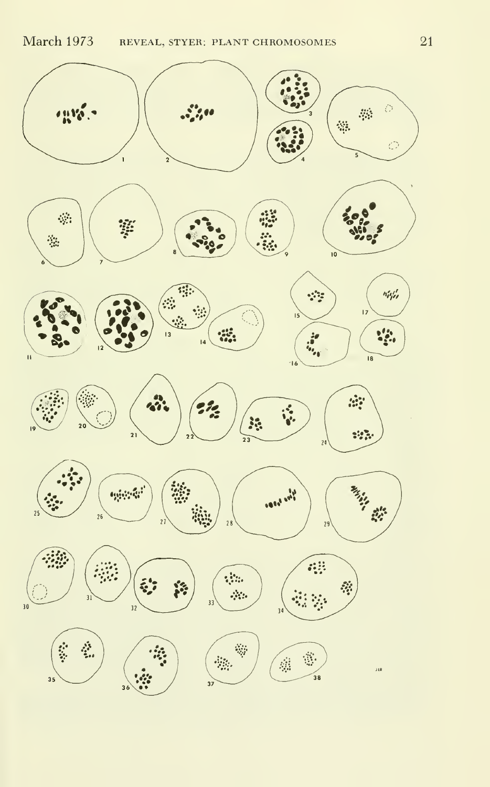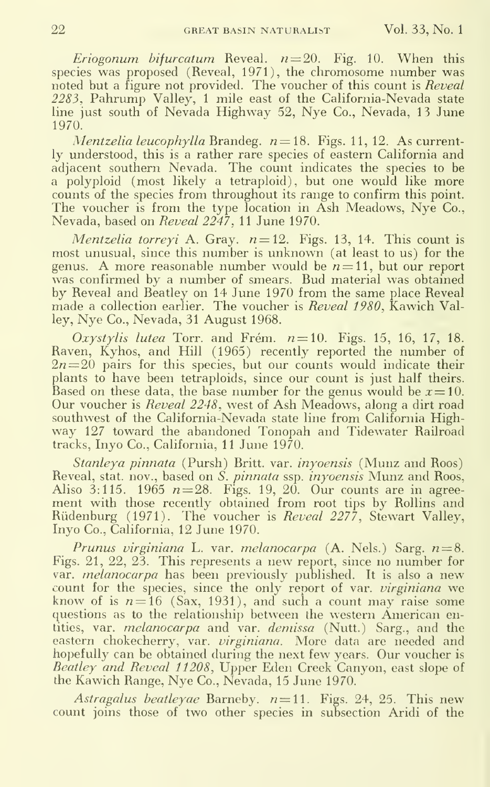*Eriogonum bifurcatum* Reveal.  $n=20$ . Fig. 10. When this species was proposed (Reveal, 1971), the chromosome number was noted but a figure not provided. The voucher of this count is *Reveal*  $2283$ , Pahrump Valley, 1 mile east of the California-Nevada state line just south of Nevada Highway 52, Nye Co., Nevada, 13 June 1970.

Mentzelia leucophylla Brandeg.  $n=18$ . Figs. 11, 12. As currently understood, this is a rather rare species of eastern California and adjacent southern Nevada. The count indicates the species to be a polyploid (most likely a tetraploid), but one would like more counts of the species from throughout its range to confirm this point. The voucher is from the type location in Ash Meadows, Nye Co., Nevada, based on Reveal 2247, 11 June 1970.

Mentzelia torreyi A. Gray.  $n=12$ . Figs. 13, 14. This count is most unusual, since this number is unknown (at least to us) for the genus. A more reasonable number would be  $n=11$ , but our report was confirmed by a number of smears. Bud material was obtained by Reveal and Beatley on 14 June 1970 from the same place Reveal made a collection earlier. The voucher is *Reveal 1980*, Kawich Valley, Nye Co., Nevada, 31 August 1968.

Oxystylis lutea Torr. and Frém.  $n=10$ . Figs. 15, 16, 17, 18. Raven, Kyhos, and Hill (1965) recently reported the number of  $2n=20$  pairs for this species, but our counts would indicate their plants to have been tetraploids, since our count is just half theirs. Based on these data, the base number for the genus would be  $x=10$ . Our voucher is Reveal 2248, west of Ash Meadows, along a dirt road southwest of the California-Nevada state line from California Highway 127 toward the abandoned Tonopah and Tidewater Railroad tracks, Inyo Co., California, 11 June 1970.

Stanleya pinnata (Pursh) Britt. var. *inyoensis* (Munz and Roos) Reveal, stat. nov., based on S. pinnata ssp. inyoensis Munz and Roos, Aliso 3:115. 1965  $n=28$ . Figs. 19, 20. Our counts are in agreement with those recently obtained from root tips by Rollins and Rüdenburg (1971). The voucher is *Reveal 2277*, Stewart Valley, Inyo Co., California, 12 June 1970.

Prunus virginiana L. var. melanocarpa (A. Nels.) Sarg.  $n=8$ . Figs. 21, 22, 23. This represents a new report, since no number for var. *melanocarpa* has been previously published. It is also a new count for the species, since the only report of var. *virginiana* we know of is  $n=16$  (Sax, 1931), and such a count may raise some questions as to the relationship between the western American entities, var. *melanocarpa* and var. *denissa* (Nutt.) Sarg., and the eastern chokecherry, var. *virginiana*. More data are needed and hopefully can be obtained during the next few years. Our voucher is Beatley and Reveal 11208, Upper Eden Creek Canyon, east slope of the Kawich Range, Nye Co., Nevada, 15 June 1970.

Astragalus beatleyae Barneby.  $n=11$ . Figs. 24, 25. This new count joins those of two other species in subsection Aridi of the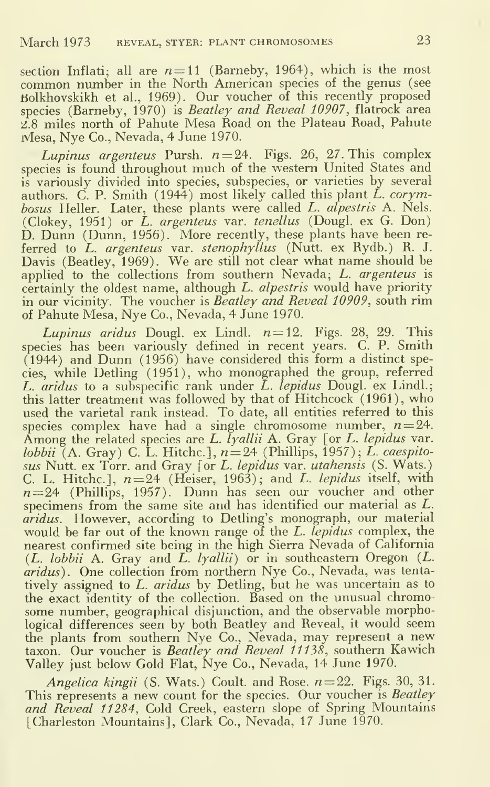section Inflati; all are  $n=11$  (Barneby, 1964), which is the most common number in the North American species of the genus (see bolkhovskikh et al., 1969). Our voucher of this recently proposed species (Barneby, 1970) is Beatley and Reveal 10907, flatrock area 2.8 miles north of Pahute Mesa Road on the Plateau Road, Pahute Mesa, Nye Co., Nevada, 4 June 1970.

Lupinus argenteus Pursh.  $n=24$ . Figs. 26, 27. This complex species is found throughout much of the western United States and is variously divided into species, subspecies, or varieties by several authors. C. P. Smith (1944) most likely called this plant  $\tilde{L}$ . corymbosus Heller. Later, these plants were called *L. alpestris* A. Nels. (Clokey, 1951) or L. argenteus var. tenellus (Dougl. ex G. Don) D. Dunn (Dunn, 1956). More recently, these plants have been re ferred to *L. argenteus* var. *stenophyllus* (Nutt. ex Rydb.) R. J.<br>Davis (Beatley, 1969). We are still not clear what name should be applied to the collections from southern Nevada; L. argenteus is certainly the oldest name, although L. alpestris would have priority in our vicinity. The voucher is *Beatley and Reveal 10909*, south rim of Pahute Mesa, Nye Co., Nevada, 4 June 1970.

Lupinus aridus Dougl. ex Lindl.  $n=12$ . Figs. 28, 29. This species has been variously defined in recent years. C. P. Smith (1944) and Dunn (1956) have considered this form <sup>a</sup> distinct species, while Detling (1951), who monographed the group, referred L.  $aridus$  to a subspecific rank under  $\hat{L}$ . lepidus Dougl. ex Lindl.; this latter treatment was followed by that of Hitchcock (1961), who used the varietal rank instead. To date, all entities referred to this species complex have had a single chromosome number,  $n=24$ . Among the related species are L.  $Iyallii$  A. Gray [or L. lepidus var. lobbii (A. Gray) C. L. Hitchc.],  $n=24$  (Phillips, 1957); L. caespitosus Nutt. ex Torr. and Gray [or L. lepidus var. utahensis (S. Wats.) C. L. Hitchc.],  $n=24$  (Heiser, 1963); and L. lepidus itself, with  $n=24$  (Phillips, 1957). Dunn has seen our voucher and other specimens from the same site and has identified our material as L. aridus. However, according to Detling's monograph, our material would be far out of the known range of the  $L$ . *lepidus* complex, the nearest confirmed site being in the high Sierra Nevada of California  $(L. \; lobbii$  A. Gray and  $L. \; lyallii)$  or in southeastern Oregon  $(L. \; lqab$ aridus). One collection from northern Nye Co., Nevada, was tentatively assigned to L. aridus by Detling, but he was uncertain as to the exact identity of the collection. Based on the unusual chromo some number, geographical disjunction, and the observable morphological differences seen by both Beatley and Reveal, it would seem the plants from southern Nye Co., Nevada, may represent <sup>a</sup> new taxon. Our voucher is *Beatley and Reveal 11138*, southern Kawich Valley just below Gold Flat, Nye Co., Nevada, 14 June 1970.

Angelica kingii (S. Wats.) Coult. and Rose.  $n = 22$ . Figs. 30, 31. This represents a new count for the species. Our voucher is Beatley and Reveal 11284, Cold Creek, eastern slope of Spring Mountains [Charleston Mountains], Clark Co., Nevada, 17 June 1970.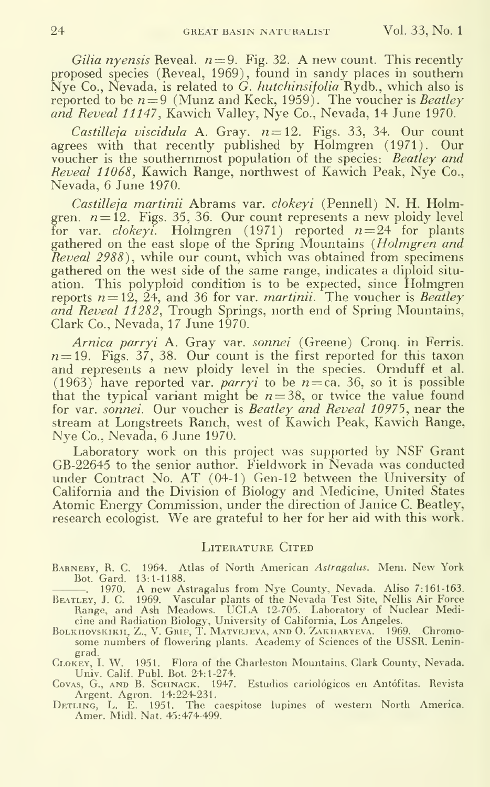Gilia nyensis Reveal.  $n=9$ . Fig. 32. A new count. This recently proposed species (Reveal, 1969), found in sandy places in southern Nye Co., Nevada, is related to G. *hutchinsifolia* Rydb., which also is reported to be  $n=9$  (Munz and Keck, 1959). The voucher is Beatley and Reveal 11147, Kawich Valley, Nye Co., Nevada, 14 June 1970.

Castilleja viscidula A. Gray.  $n=12$ . Figs. 33, 34. Our count agrees with that recently published by Holmgren (1971). Our voucher is the southernmost population of the species: Beatley and Reveal 11068, Kawich Range, northwest of Kawich Peak, Nye Co., Nevada, 6 June 1970.

Castilleja martinii Abrams var. clokeyi (Pennell) N. H. Holmgren.  $n=12$ . Figs. 35, 36. Our count represents a new ploidy level for var. *clokeyi*. Holmgren (1971) reported  $n=24$  for plants gathered on the east slope of the Spring Mountains (Holmgren and Reveal 2988), while our count, which was obtained from specimens gathered on the west side of the same range, indicates a diploid situ ation. This polyploid condition is to be expected, since Holmgren reports  $n$   $=$  12, 24, and 36 for var. *martinii*. The voucher is *Beatley and Reveal 11282*, Trough Springs, north end of Spring Mountains, Clark Co., Nevada, 17 June 1970.

Arnica parryi A. Gray var. sonnei (Greene) Cronq. in Ferris.  $n=19$ . Figs. 37, 38. Our count is the first reported for this taxon and represents a new ploidy level in the species. Ornduff et al. (1963) have reported var. parryi to be  $n = ca$ . 36, so it is possible that the typical variant might be  $n = 38$ , or twice the value found for var. sonnei. Our voucher is Beatley and Reveal 10975, near the stream at Longstreets Ranch, west of Kawich Peak, Kawich Range, Nye Co., Nevada, 6 June 1970.

Laboratory work on this project was supported by NSF Grant GR-22645 to the senior author. Fieldwork in Nevada was conducted under Contract No. AT (04-1) Gen-12 between the University of California and the Division of Biology and Medicine, United States Atomic Energy Commission, under the direction of Janice C. Beatley, research ecologist. We are grateful to her for her aid with this work.

### LITERATURE CITED

BARNEBY, R. C. 1964. Atlas of North American Astragalus. Mem. New York Bot. Gard. 13:1-1188.

Bot. Gard. 13:1-1188. . 1970. A new Astragalus from Nye County, Nevada. Aliso 7:161-163. Beatley, J. C. 1969. Vascular plants of the Nevada Test Site, Nellis Air Force Range, and Ash Meadows. UCLA 12-705. Laboratory of Nuclear Medi-cine and Radiation Biology, University of California, Los Angeles. BoLKHovsKiKH, Z., V. Grif, T. Matvejeva. AND O. Zakharyeva. 1969. Chromo-

- some numbers of flowering plants. Academy of Sciences of the USSR, Leningrad.
- Clokey, L W. 1951. Flora of the Charleston Mountains, Clark County, Nevada. Univ. Calif. Publ. Bot. 24:1-274.
- Covas, G., and B. Schnack. 1947. Estudios cariologicos en Antofitas. Revista
- Argent. Agron. 14:224-231.<br>DETLING, L. E. 1951. The caespitose lupines of western North America. Amer. Midl. Nat. 45:474-499.